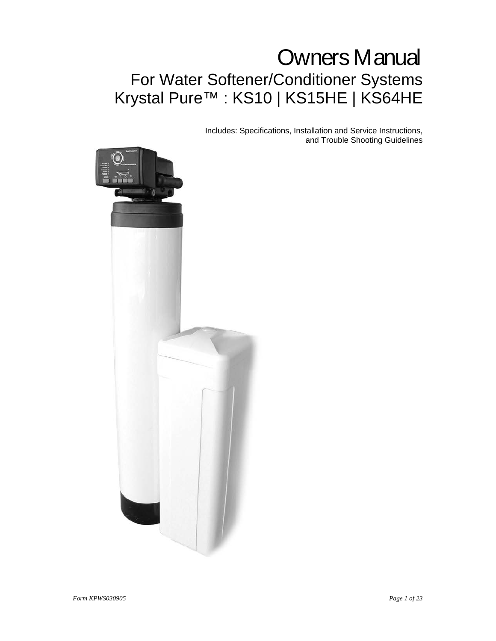# Owners Manual For Water Softener/Conditioner Systems Krystal Pure™ : KS10 | KS15HE | KS64HE

Includes: Specifications, Installation and Service Instructions, and Trouble Shooting Guidelines

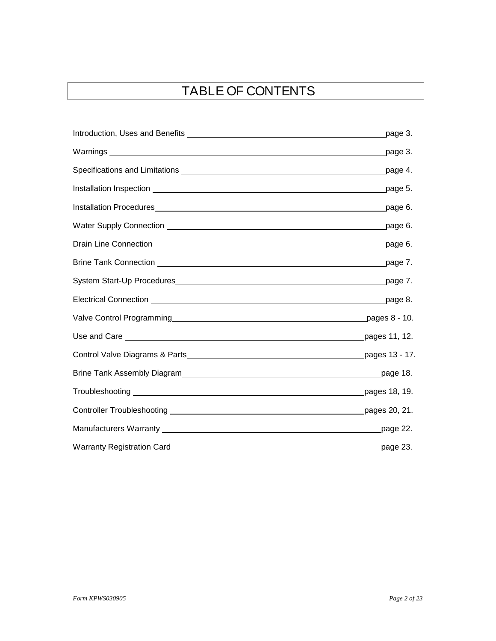# TABLE OF CONTENTS

|                                                                                                                                                                                                                                      | page 3.  |
|--------------------------------------------------------------------------------------------------------------------------------------------------------------------------------------------------------------------------------------|----------|
|                                                                                                                                                                                                                                      | page 3.  |
|                                                                                                                                                                                                                                      | page 4.  |
| Installation Inspection <b>contract to the contract of the contract of the contract of the contract of the contract of the contract of the contract of the contract of the contract of the contract of the contract of the contr</b> | page 5.  |
|                                                                                                                                                                                                                                      | _page 6. |
|                                                                                                                                                                                                                                      | page 6.  |
| Drain Line Connection <u>example and the connection</u> of the connection of the connection of the connection of the connection of the connection of the connection of the connection of the connection of the connection of the co  | page 6.  |
| Brine Tank Connection <b>container the control of the control of the control of the control of the control of the control of the control of the control of the control of the control of the control of the control of the contr</b> | page 7.  |
|                                                                                                                                                                                                                                      |          |
|                                                                                                                                                                                                                                      |          |
| Valve Control Programming entertainment of the pages 8 - 10.                                                                                                                                                                         |          |
|                                                                                                                                                                                                                                      |          |
|                                                                                                                                                                                                                                      |          |
|                                                                                                                                                                                                                                      |          |
|                                                                                                                                                                                                                                      |          |
|                                                                                                                                                                                                                                      |          |
|                                                                                                                                                                                                                                      | page 22. |
|                                                                                                                                                                                                                                      | page 23. |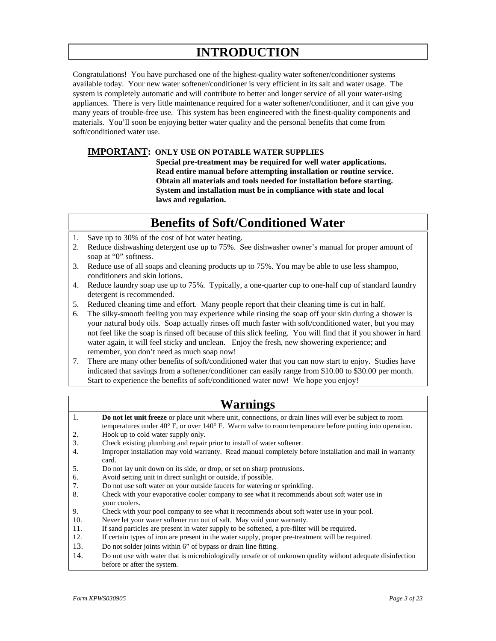# **INTRODUCTION**

Congratulations! You have purchased one of the highest-quality water softener/conditioner systems available today. Your new water softener/conditioner is very efficient in its salt and water usage. The system is completely automatic and will contribute to better and longer service of all your water-using appliances. There is very little maintenance required for a water softener/conditioner, and it can give you many years of trouble-free use. This system has been engineered with the finest-quality components and materials. You'll soon be enjoying better water quality and the personal benefits that come from soft/conditioned water use.

#### **IMPORTANT: ONLY USE ON POTABLE WATER SUPPLIES**

 **Special pre-treatment may be required for well water applications. Read entire manual before attempting installation or routine service. Obtain all materials and tools needed for installation before starting. System and installation must be in compliance with state and local laws and regulation.**

# **Benefits of Soft/Conditioned Water**

- 1. Save up to 30% of the cost of hot water heating.
- 2. Reduce dishwashing detergent use up to 75%. See dishwasher owner's manual for proper amount of soap at "0" softness.
- 3. Reduce use of all soaps and cleaning products up to 75%. You may be able to use less shampoo, conditioners and skin lotions.
- 4. Reduce laundry soap use up to 75%. Typically, a one-quarter cup to one-half cup of standard laundry detergent is recommended.
- 5. Reduced cleaning time and effort. Many people report that their cleaning time is cut in half.
- 6. The silky-smooth feeling you may experience while rinsing the soap off your skin during a shower is your natural body oils. Soap actually rinses off much faster with soft/conditioned water, but you may not feel like the soap is rinsed off because of this slick feeling. You will find that if you shower in hard water again, it will feel sticky and unclean. Enjoy the fresh, new showering experience; and remember, you don't need as much soap now!
- 7. There are many other benefits of soft/conditioned water that you can now start to enjoy. Studies have indicated that savings from a softener/conditioner can easily range from \$10.00 to \$30.00 per month. Start to experience the benefits of soft/conditioned water now! We hope you enjoy!

|  | <b>Warnings</b> |  |
|--|-----------------|--|
|  |                 |  |

| 1.  | Do not let unit freeze or place unit where unit, connections, or drain lines will ever be subject to room                                 |
|-----|-------------------------------------------------------------------------------------------------------------------------------------------|
|     | temperatures under $40^{\circ}$ F, or over $140^{\circ}$ F. Warm valve to room temperature before putting into operation.                 |
| 2.  | Hook up to cold water supply only.                                                                                                        |
| 3.  | Check existing plumbing and repair prior to install of water softener.                                                                    |
| 4.  | Improper installation may void warranty. Read manual completely before installation and mail in warranty<br>card.                         |
| 5.  | Do not lay unit down on its side, or drop, or set on sharp protrusions.                                                                   |
| 6.  | Avoid setting unit in direct sunlight or outside, if possible.                                                                            |
| 7.  | Do not use soft water on your outside faucets for watering or sprinkling.                                                                 |
| 8.  | Check with your evaporative cooler company to see what it recommends about soft water use in<br>your coolers.                             |
| 9.  | Check with your pool company to see what it recommends about soft water use in your pool.                                                 |
| 10. | Never let your water softener run out of salt. May void your warranty.                                                                    |
| 11. | If sand particles are present in water supply to be softened, a pre-filter will be required.                                              |
| 12. | If certain types of iron are present in the water supply, proper pre-treatment will be required.                                          |
| 13. | Do not solder joints within 6" of bypass or drain line fitting.                                                                           |
| 14. | Do not use with water that is microbiologically unsafe or of unknown quality without adequate disinfection<br>before or after the system. |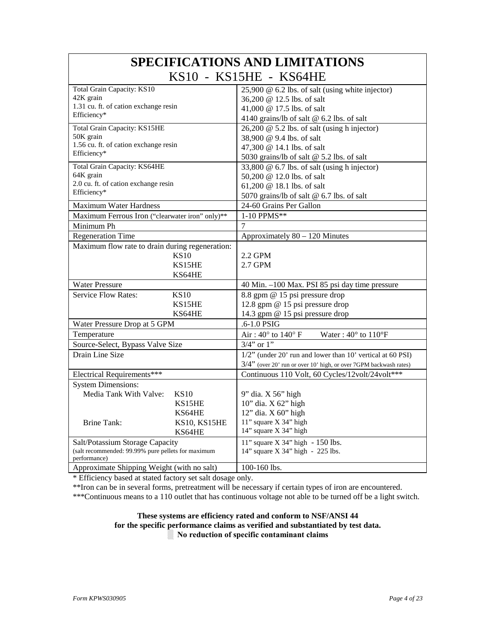| <b>SPECIFICATIONS AND LIMITATIONS</b>                              |              |                                                                   |  |  |  |  |
|--------------------------------------------------------------------|--------------|-------------------------------------------------------------------|--|--|--|--|
| KS10 - KS15HE - KS64HE                                             |              |                                                                   |  |  |  |  |
| <b>Total Grain Capacity: KS10</b>                                  |              | 25,900 @ 6.2 lbs. of salt (using white injector)                  |  |  |  |  |
| 42K grain                                                          |              | 36,200 @ 12.5 lbs. of salt                                        |  |  |  |  |
| 1.31 cu. ft. of cation exchange resin                              |              | 41,000 @ 17.5 lbs. of salt                                        |  |  |  |  |
| Efficiency*                                                        |              | 4140 grains/lb of salt @ 6.2 lbs. of salt                         |  |  |  |  |
| Total Grain Capacity: KS15HE                                       |              | 26,200 @ 5.2 lbs. of salt (using h injector)                      |  |  |  |  |
| 50K grain                                                          |              | 38,900 @ 9.4 lbs. of salt                                         |  |  |  |  |
| 1.56 cu. ft. of cation exchange resin                              |              | 47,300 @ 14.1 lbs. of salt                                        |  |  |  |  |
| Efficiency*                                                        |              | 5030 grains/lb of salt @ 5.2 lbs. of salt                         |  |  |  |  |
| Total Grain Capacity: KS64HE                                       |              | 33,800 @ 6.7 lbs. of salt (using h injector)                      |  |  |  |  |
| 64K grain                                                          |              | 50,200 @ 12.0 lbs. of salt                                        |  |  |  |  |
| 2.0 cu. ft. of cation exchange resin                               |              | 61,200 @ 18.1 lbs. of salt                                        |  |  |  |  |
| Efficiency*                                                        |              | 5070 grains/lb of salt @ 6.7 lbs. of salt                         |  |  |  |  |
| Maximum Water Hardness                                             |              | 24-60 Grains Per Gallon                                           |  |  |  |  |
| Maximum Ferrous Iron ("clearwater iron" only)**                    |              | 1-10 PPMS**                                                       |  |  |  |  |
| Minimum Ph                                                         |              | 7                                                                 |  |  |  |  |
| <b>Regeneration Time</b>                                           |              | Approximately 80 - 120 Minutes                                    |  |  |  |  |
| Maximum flow rate to drain during regeneration:                    |              |                                                                   |  |  |  |  |
| <b>KS10</b>                                                        |              | 2.2 GPM                                                           |  |  |  |  |
| KS15HE                                                             |              | 2.7 GPM                                                           |  |  |  |  |
| KS64HE                                                             |              |                                                                   |  |  |  |  |
| <b>Water Pressure</b>                                              |              | 40 Min. -100 Max. PSI 85 psi day time pressure                    |  |  |  |  |
| <b>Service Flow Rates:</b><br><b>KS10</b>                          |              | 8.8 gpm @ 15 psi pressure drop                                    |  |  |  |  |
| KS15HE                                                             |              | 12.8 gpm @ 15 psi pressure drop                                   |  |  |  |  |
| KS64HE                                                             |              | 14.3 gpm @ 15 psi pressure drop                                   |  |  |  |  |
| Water Pressure Drop at 5 GPM                                       |              | .6-1.0 PSIG                                                       |  |  |  |  |
| Temperature                                                        |              | Air: 40° to 140° F<br>Water: $40^{\circ}$ to $110^{\circ}F$       |  |  |  |  |
| Source-Select, Bypass Valve Size                                   |              | $3/4$ " or $1$ "                                                  |  |  |  |  |
| Drain Line Size                                                    |              | $1/2$ " (under 20' run and lower than 10' vertical at 60 PSI)     |  |  |  |  |
|                                                                    |              | 3/4" (over 20' run or over 10' high, or over 7GPM backwash rates) |  |  |  |  |
| Electrical Requirements***                                         |              | Continuous 110 Volt, 60 Cycles/12volt/24volt***                   |  |  |  |  |
| <b>System Dimensions:</b>                                          |              |                                                                   |  |  |  |  |
| Media Tank With Valve:<br><b>KS10</b>                              |              | 9" dia. X 56" high                                                |  |  |  |  |
| KS15HE                                                             |              | 10" dia. X 62" high                                               |  |  |  |  |
| KS64HE                                                             |              | 12" dia. X 60" high                                               |  |  |  |  |
| <b>Brine Tank:</b>                                                 | KS10, KS15HE | 11" square X 34" high                                             |  |  |  |  |
| KS64HE                                                             |              | 14" square X 34" high                                             |  |  |  |  |
| Salt/Potassium Storage Capacity                                    |              | 11" square $X$ 34" high - 150 lbs.                                |  |  |  |  |
| (salt recommended: 99.99% pure pellets for maximum<br>performance) |              | 14" square X 34" high - 225 lbs.                                  |  |  |  |  |
| Approximate Shipping Weight (with no salt)                         |              | 100-160 lbs.                                                      |  |  |  |  |

\* Efficiency based at stated factory set salt dosage only.

\*\*Iron can be in several forms, pretreatment will be necessary if certain types of iron are encountered.

\*\*\*Continuous means to a 110 outlet that has continuous voltage not able to be turned off be a light switch.

#### **These systems are efficiency rated and conform to NSF/ANSI 44 for the specific performance claims as verified and substantiated by test data. ░ No reduction of specific contaminant claims**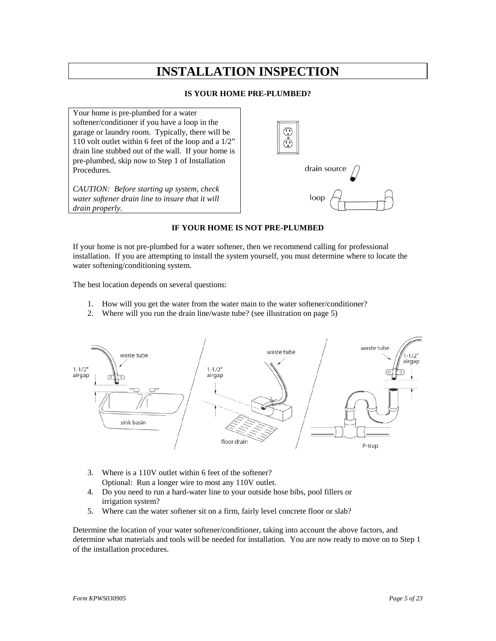# **INSTALLATION INSPECTION**

#### **IS YOUR HOME PRE-PLUMBED?**

Your home is pre-plumbed for a water softener/conditioner if you have a loop in the garage or laundry room. Typically, there will be 110 volt outlet within 6 feet of the loop and a 1/2" drain line stubbed out of the wall. If your home is pre-plumbed, skip now to Step 1 of Installation Procedures.

*CAUTION: Before starting up system, check water softener drain line to insure that it will drain properly.*



#### **IF YOUR HOME IS NOT PRE-PLUMBED**

If your home is not pre-plumbed for a water softener, then we recommend calling for professional installation. If you are attempting to install the system yourself, you must determine where to locate the water softening/conditioning system.

The best location depends on several questions:

- 1. How will you get the water from the water main to the water softener/conditioner?
- 2. Where will you run the drain line/waste tube? (see illustration on page 5)



- 3. Where is a 110V outlet within 6 feet of the softener? Optional: Run a longer wire to most any 110V outlet.
- 4. Do you need to run a hard-water line to your outside hose bibs, pool fillers or irrigation system?
- 5. Where can the water softener sit on a firm, fairly level concrete floor or slab?

Determine the location of your water softener/conditioner, taking into account the above factors, and determine what materials and tools will be needed for installation. You are now ready to move on to Step 1 of the installation procedures.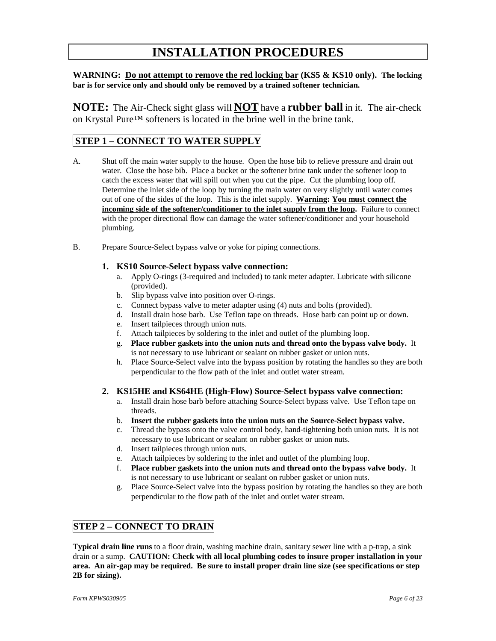# **INSTALLATION PROCEDURES**

**WARNING: Do not attempt to remove the red locking bar (KS5 & KS10 only). The locking bar is for service only and should only be removed by a trained softener technician.**

**NOTE:** The Air-Check sight glass will **NOT** have a **rubber ball** in it. The air-check on Krystal Pure™ softeners is located in the brine well in the brine tank.

### **STEP 1 – CONNECT TO WATER SUPPLY**

- A. Shut off the main water supply to the house. Open the hose bib to relieve pressure and drain out water. Close the hose bib. Place a bucket or the softener brine tank under the softener loop to catch the excess water that will spill out when you cut the pipe. Cut the plumbing loop off. Determine the inlet side of the loop by turning the main water on very slightly until water comes out of one of the sides of the loop. This is the inlet supply. **Warning: You must connect the incoming side of the softener/conditioner to the inlet supply from the loop.** Failure to connect with the proper directional flow can damage the water softener/conditioner and your household plumbing.
- B. Prepare Source-Select bypass valve or yoke for piping connections.

#### **1. KS10 Source-Select bypass valve connection:**

- a. Apply O-rings (3-required and included) to tank meter adapter. Lubricate with silicone (provided).
- b. Slip bypass valve into position over O-rings.
- c. Connect bypass valve to meter adapter using (4) nuts and bolts (provided).
- d. Install drain hose barb. Use Teflon tape on threads. Hose barb can point up or down.
- e. Insert tailpieces through union nuts.
- f. Attach tailpieces by soldering to the inlet and outlet of the plumbing loop.
- g. **Place rubber gaskets into the union nuts and thread onto the bypass valve body.** It is not necessary to use lubricant or sealant on rubber gasket or union nuts.
- h. Place Source-Select valve into the bypass position by rotating the handles so they are both perpendicular to the flow path of the inlet and outlet water stream.

#### **2. KS15HE and KS64HE (High-Flow) Source-Select bypass valve connection:**

- a. Install drain hose barb before attaching Source-Select bypass valve. Use Teflon tape on threads.
- b. **Insert the rubber gaskets into the union nuts on the Source-Select bypass valve.**
- c. Thread the bypass onto the valve control body, hand-tightening both union nuts. It is not necessary to use lubricant or sealant on rubber gasket or union nuts.
- d. Insert tailpieces through union nuts.
- e. Attach tailpieces by soldering to the inlet and outlet of the plumbing loop.
- f. **Place rubber gaskets into the union nuts and thread onto the bypass valve body.** It is not necessary to use lubricant or sealant on rubber gasket or union nuts.
- g. Place Source-Select valve into the bypass position by rotating the handles so they are both perpendicular to the flow path of the inlet and outlet water stream.

### **STEP 2 – CONNECT TO DRAIN**

**Typical drain line runs** to a floor drain, washing machine drain, sanitary sewer line with a p-trap, a sink drain or a sump. **CAUTION: Check with all local plumbing codes to insure proper installation in your area. An air-gap may be required. Be sure to install proper drain line size (see specifications or step 2B for sizing).**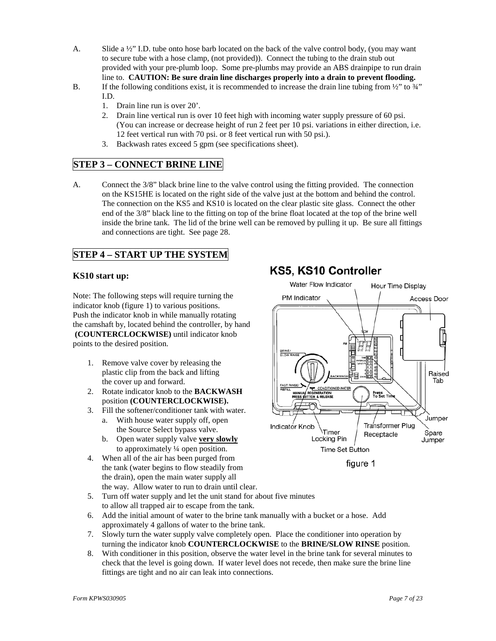- A. Slide a  $\frac{1}{2}$ " I.D. tube onto hose barb located on the back of the valve control body, (you may want to secure tube with a hose clamp, (not provided)). Connect the tubing to the drain stub out provided with your pre-plumb loop. Some pre-plumbs may provide an ABS drainpipe to run drain line to. **CAUTION: Be sure drain line discharges properly into a drain to prevent flooding.**
- B. If the following conditions exist, it is recommended to increase the drain line tubing from  $\frac{1}{2}$  to  $\frac{3}{4}$ " I.D.
	- 1. Drain line run is over 20'.
	- 2. Drain line vertical run is over 10 feet high with incoming water supply pressure of 60 psi. (You can increase or decrease height of run 2 feet per 10 psi. variations in either direction, i.e. 12 feet vertical run with 70 psi. or 8 feet vertical run with 50 psi.).
	- 3. Backwash rates exceed 5 gpm (see specifications sheet).

### **STEP 3 – CONNECT BRINE LINE**

A. Connect the 3/8" black brine line to the valve control using the fitting provided. The connection on the KS15HE is located on the right side of the valve just at the bottom and behind the control. The connection on the KS5 and KS10 is located on the clear plastic site glass. Connect the other end of the 3/8" black line to the fitting on top of the brine float located at the top of the brine well inside the brine tank. The lid of the brine well can be removed by pulling it up. Be sure all fittings and connections are tight. See page 28.

### **STEP 4 – START UP THE SYSTEM**

#### **KS10 start up:**

Note: The following steps will require turning the indicator knob (figure 1) to various positions. Push the indicator knob in while manually rotating the camshaft by, located behind the controller, by hand **(COUNTERCLOCKWISE)** until indicator knob points to the desired position.

- 1. Remove valve cover by releasing the plastic clip from the back and lifting the cover up and forward.
- 2. Rotate indicator knob to the **BACKWASH** position **(COUNTERCLOCKWISE).**
- 3. Fill the softener/conditioner tank with water.
	- a. With house water supply off, open the Source Select bypass valve.
	- b. Open water supply valve **very slowly** to approximately ¼ open position.
- 4. When all of the air has been purged from the tank (water begins to flow steadily from the drain), open the main water supply all the way. Allow water to run to drain until clear.
- 5. Turn off water supply and let the unit stand for about five minutes to allow all trapped air to escape from the tank.
- 6. Add the initial amount of water to the brine tank manually with a bucket or a hose. Add approximately 4 gallons of water to the brine tank.
- 7. Slowly turn the water supply valve completely open. Place the conditioner into operation by turning the indicator knob **COUNTERCLOCKWISE** to the **BRINE/SLOW RINSE** position.
- 8. With conditioner in this position, observe the water level in the brine tank for several minutes to check that the level is going down. If water level does not recede, then make sure the brine line fittings are tight and no air can leak into connections.

# KS5, KS10 Controller



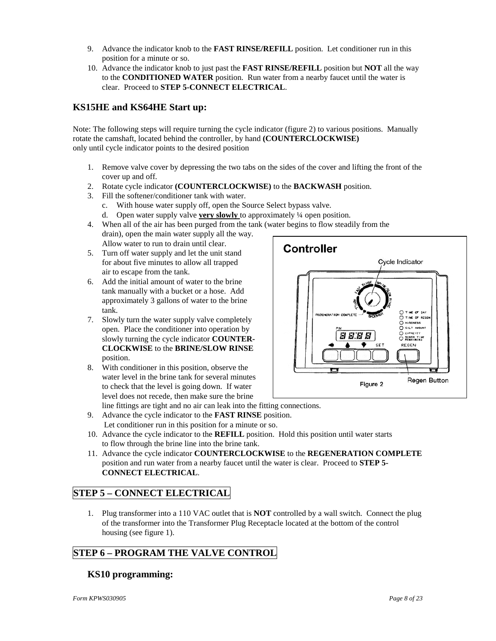- 9. Advance the indicator knob to the **FAST RINSE/REFILL** position. Let conditioner run in this position for a minute or so.
- 10. Advance the indicator knob to just past the **FAST RINSE/REFILL** position but **NOT** all the way to the **CONDITIONED WATER** position. Run water from a nearby faucet until the water is clear. Proceed to **STEP 5-CONNECT ELECTRICAL**.

### **KS15HE and KS64HE Start up:**

Note: The following steps will require turning the cycle indicator (figure 2) to various positions. Manually rotate the camshaft, located behind the controller, by hand **(COUNTERCLOCKWISE)** only until cycle indicator points to the desired position

- 1. Remove valve cover by depressing the two tabs on the sides of the cover and lifting the front of the cover up and off.
- 2. Rotate cycle indicator **(COUNTERCLOCKWISE)** to the **BACKWASH** position.
- 3. Fill the softener/conditioner tank with water.
	- c. With house water supply off, open the Source Select bypass valve.
	- d. Open water supply valve **very slowly** to approximately ¼ open position.
- 4. When all of the air has been purged from the tank (water begins to flow steadily from the drain), open the main water supply all the way.
	- Allow water to run to drain until clear.
- 5. Turn off water supply and let the unit stand for about five minutes to allow all trapped air to escape from the tank.
- 6. Add the initial amount of water to the brine tank manually with a bucket or a hose. Add approximately 3 gallons of water to the brine tank.
- 7. Slowly turn the water supply valve completely open. Place the conditioner into operation by slowly turning the cycle indicator **COUNTER-CLOCKWISE** to the **BRINE/SLOW RINSE** position.
- 8. With conditioner in this position, observe the water level in the brine tank for several minutes to check that the level is going down. If water level does not recede, then make sure the brine



- 10. Advance the cycle indicator to the **REFILL** position. Hold this position until water starts to flow through the brine line into the brine tank.
- 11. Advance the cycle indicator **COUNTERCLOCKWISE** to the **REGENERATION COMPLETE** position and run water from a nearby faucet until the water is clear. Proceed to **STEP 5- CONNECT ELECTRICAL**.

## **STEP 5 – CONNECT ELECTRICAL**

1. Plug transformer into a 110 VAC outlet that is **NOT** controlled by a wall switch. Connect the plug of the transformer into the Transformer Plug Receptacle located at the bottom of the control housing (see figure 1).

### **STEP 6 – PROGRAM THE VALVE CONTROL**

### **KS10 programming:**

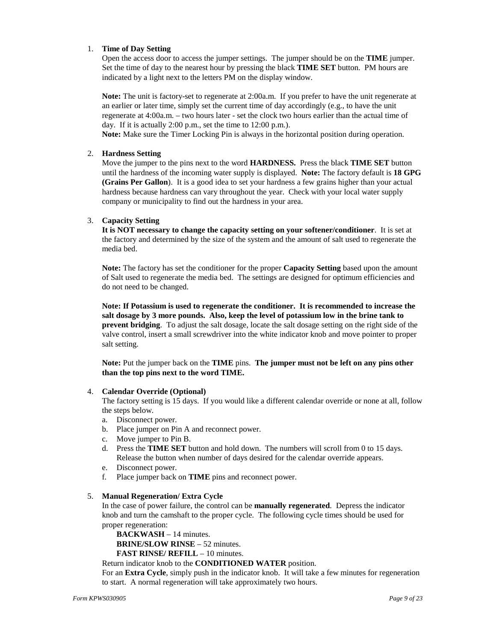#### 1. **Time of Day Setting**

Open the access door to access the jumper settings. The jumper should be on the **TIME** jumper. Set the time of day to the nearest hour by pressing the black **TIME SET** button. PM hours are indicated by a light next to the letters PM on the display window.

**Note:** The unit is factory-set to regenerate at 2:00a.m. If you prefer to have the unit regenerate at an earlier or later time, simply set the current time of day accordingly (e.g., to have the unit regenerate at 4:00a.m. – two hours later - set the clock two hours earlier than the actual time of day. If it is actually 2:00 p.m., set the time to 12:00 p.m.).

**Note:** Make sure the Timer Locking Pin is always in the horizontal position during operation.

#### 2. **Hardness Setting**

Move the jumper to the pins next to the word **HARDNESS.** Press the black **TIME SET** button until the hardness of the incoming water supply is displayed. **Note:** The factory default is **18 GPG (Grains Per Gallon**). It is a good idea to set your hardness a few grains higher than your actual hardness because hardness can vary throughout the year. Check with your local water supply company or municipality to find out the hardness in your area.

#### 3. **Capacity Setting**

**It is NOT necessary to change the capacity setting on your softener/conditioner**. It is set at the factory and determined by the size of the system and the amount of salt used to regenerate the media bed.

**Note:** The factory has set the conditioner for the proper **Capacity Setting** based upon the amount of Salt used to regenerate the media bed. The settings are designed for optimum efficiencies and do not need to be changed.

**Note: If Potassium is used to regenerate the conditioner. It is recommended to increase the salt dosage by 3 more pounds. Also, keep the level of potassium low in the brine tank to prevent bridging**. To adjust the salt dosage, locate the salt dosage setting on the right side of the valve control, insert a small screwdriver into the white indicator knob and move pointer to proper salt setting.

**Note:** Put the jumper back on the **TIME** pins. **The jumper must not be left on any pins other than the top pins next to the word TIME.**

#### 4. **Calendar Override (Optional)**

The factory setting is 15 days. If you would like a different calendar override or none at all, follow the steps below.

- a. Disconnect power.
- b. Place jumper on Pin A and reconnect power.
- c. Move jumper to Pin B.
- d. Press the **TIME SET** button and hold down. The numbers will scroll from 0 to 15 days. Release the button when number of days desired for the calendar override appears.
- e. Disconnect power.
- f. Place jumper back on **TIME** pins and reconnect power.

#### 5. **Manual Regeneration/ Extra Cycle**

In the case of power failure, the control can be **manually regenerated**. Depress the indicator knob and turn the camshaft to the proper cycle. The following cycle times should be used for proper regeneration:

**BACKWASH** – 14 minutes. **BRINE/SLOW RINSE** – 52 minutes. **FAST RINSE/ REFILL** – 10 minutes.

#### Return indicator knob to the **CONDITIONED WATER** position.

For an **Extra Cycle**, simply push in the indicator knob. It will take a few minutes for regeneration to start. A normal regeneration will take approximately two hours.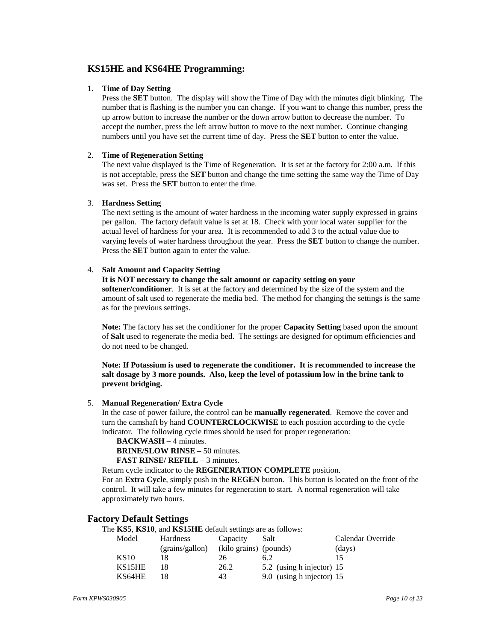### **KS15HE and KS64HE Programming:**

#### 1. **Time of Day Setting**

Press the **SET** button. The display will show the Time of Day with the minutes digit blinking. The number that is flashing is the number you can change. If you want to change this number, press the up arrow button to increase the number or the down arrow button to decrease the number. To accept the number, press the left arrow button to move to the next number. Continue changing numbers until you have set the current time of day. Press the **SET** button to enter the value.

#### 2. **Time of Regeneration Setting**

The next value displayed is the Time of Regeneration. It is set at the factory for 2:00 a.m. If this is not acceptable, press the **SET** button and change the time setting the same way the Time of Day was set. Press the **SET** button to enter the time.

#### 3. **Hardness Setting**

The next setting is the amount of water hardness in the incoming water supply expressed in grains per gallon. The factory default value is set at 18. Check with your local water supplier for the actual level of hardness for your area. It is recommended to add 3 to the actual value due to varying levels of water hardness throughout the year. Press the **SET** button to change the number. Press the **SET** button again to enter the value.

#### 4. **Salt Amount and Capacity Setting**

#### **It is NOT necessary to change the salt amount or capacity setting on your**

**softener/conditioner**. It is set at the factory and determined by the size of the system and the amount of salt used to regenerate the media bed. The method for changing the settings is the same as for the previous settings.

**Note:** The factory has set the conditioner for the proper **Capacity Setting** based upon the amount of **Salt** used to regenerate the media bed. The settings are designed for optimum efficiencies and do not need to be changed.

**Note: If Potassium is used to regenerate the conditioner. It is recommended to increase the salt dosage by 3 more pounds. Also, keep the level of potassium low in the brine tank to prevent bridging.**

#### 5. **Manual Regeneration/ Extra Cycle**

In the case of power failure, the control can be **manually regenerated**. Remove the cover and turn the camshaft by hand **COUNTERCLOCKWISE** to each position according to the cycle indicator. The following cycle times should be used for proper regeneration:

#### **BACKWASH** – 4 minutes.

**BRINE/SLOW RINSE** – 50 minutes.

**FAST RINSE/ REFILL** – 3 minutes.

Return cycle indicator to the **REGENERATION COMPLETE** position.

For an **Extra Cycle**, simply push in the **REGEN** button. This button is located on the front of the control. It will take a few minutes for regeneration to start. A normal regeneration will take approximately two hours.

#### **Factory Default Settings**

The **KS5**, **KS10**, and **KS15HE** default settings are as follows:

| Model       | <b>Hardness</b> | Capacity               | Salt                      | Calendar Override |
|-------------|-----------------|------------------------|---------------------------|-------------------|
|             | (grains/gallon) | (kilo grains) (pounds) |                           | (days)            |
| <b>KS10</b> | 18              | 26                     | 6.2                       | 15                |
| KS15HE      | 18              | 26.2                   | 5.2 (using h injector) 15 |                   |
| KS64HE      |                 | 43                     | 9.0 (using h injector) 15 |                   |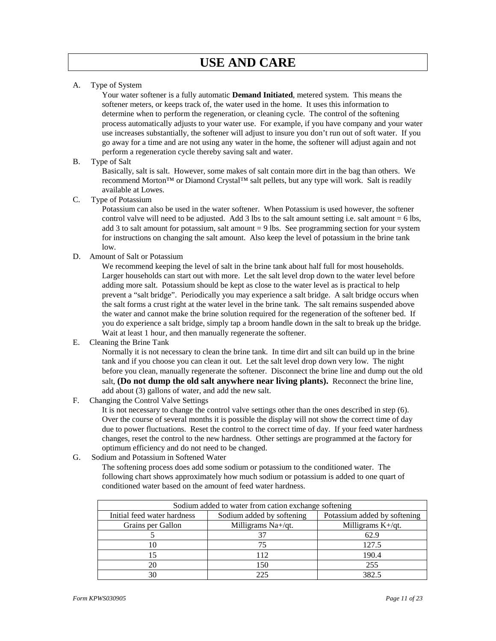A. Type of System

Your water softener is a fully automatic **Demand Initiated**, metered system. This means the softener meters, or keeps track of, the water used in the home. It uses this information to determine when to perform the regeneration, or cleaning cycle. The control of the softening process automatically adjusts to your water use. For example, if you have company and your water use increases substantially, the softener will adjust to insure you don't run out of soft water. If you go away for a time and are not using any water in the home, the softener will adjust again and not perform a regeneration cycle thereby saving salt and water.

B. Type of Salt

Basically, salt is salt. However, some makes of salt contain more dirt in the bag than others. We recommend Morton™ or Diamond Crystal™ salt pellets, but any type will work. Salt is readily available at Lowes.

C. Type of Potassium

Potassium can also be used in the water softener. When Potassium is used however, the softener control valve will need to be adjusted. Add 3 lbs to the salt amount setting i.e. salt amount  $= 6$  lbs, add 3 to salt amount for potassium, salt amount  $= 9$  lbs. See programming section for your system for instructions on changing the salt amount. Also keep the level of potassium in the brine tank low.

D. Amount of Salt or Potassium

We recommend keeping the level of salt in the brine tank about half full for most households. Larger households can start out with more. Let the salt level drop down to the water level before adding more salt. Potassium should be kept as close to the water level as is practical to help prevent a "salt bridge". Periodically you may experience a salt bridge. A salt bridge occurs when the salt forms a crust right at the water level in the brine tank. The salt remains suspended above the water and cannot make the brine solution required for the regeneration of the softener bed. If you do experience a salt bridge, simply tap a broom handle down in the salt to break up the bridge. Wait at least 1 hour, and then manually regenerate the softener.

E. Cleaning the Brine Tank

Normally it is not necessary to clean the brine tank. In time dirt and silt can build up in the brine tank and if you choose you can clean it out. Let the salt level drop down very low. The night before you clean, manually regenerate the softener. Disconnect the brine line and dump out the old salt, **(Do not dump the old salt anywhere near living plants).** Reconnect the brine line, add about (3) gallons of water, and add the new salt.

F. Changing the Control Valve Settings

It is not necessary to change the control valve settings other than the ones described in step (6). Over the course of several months it is possible the display will not show the correct time of day due to power fluctuations. Reset the control to the correct time of day. If your feed water hardness changes, reset the control to the new hardness. Other settings are programmed at the factory for optimum efficiency and do not need to be changed.

G. Sodium and Potassium in Softened Water

The softening process does add some sodium or potassium to the conditioned water. The following chart shows approximately how much sodium or potassium is added to one quart of conditioned water based on the amount of feed water hardness.

| Sodium added to water from cation exchange softening |                              |                      |  |  |  |  |  |
|------------------------------------------------------|------------------------------|----------------------|--|--|--|--|--|
| Initial feed water hardness                          | Potassium added by softening |                      |  |  |  |  |  |
| Grains per Gallon                                    | Milligrams Na+/qt.           | Milligrams $K+/qt$ . |  |  |  |  |  |
|                                                      |                              | 62.9                 |  |  |  |  |  |
| 10                                                   | 75                           | 127.5                |  |  |  |  |  |
| 15                                                   | 112                          | 190.4                |  |  |  |  |  |
| 20                                                   | 150                          | 255                  |  |  |  |  |  |
| 30                                                   |                              | 382.5                |  |  |  |  |  |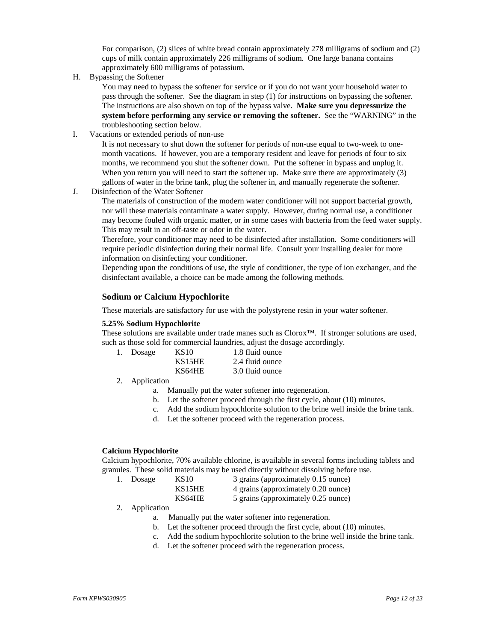For comparison, (2) slices of white bread contain approximately 278 milligrams of sodium and (2) cups of milk contain approximately 226 milligrams of sodium. One large banana contains approximately 600 milligrams of potassium.

H. Bypassing the Softener

You may need to bypass the softener for service or if you do not want your household water to pass through the softener. See the diagram in step (1) for instructions on bypassing the softener. The instructions are also shown on top of the bypass valve. **Make sure you depressurize the system before performing any service or removing the softener.** See the "WARNING" in the troubleshooting section below.

I. Vacations or extended periods of non-use

It is not necessary to shut down the softener for periods of non-use equal to two-week to onemonth vacations. If however, you are a temporary resident and leave for periods of four to six months, we recommend you shut the softener down. Put the softener in bypass and unplug it. When you return you will need to start the softener up. Make sure there are approximately (3) gallons of water in the brine tank, plug the softener in, and manually regenerate the softener.

J. Disinfection of the Water Softener

The materials of construction of the modern water conditioner will not support bacterial growth, nor will these materials contaminate a water supply. However, during normal use, a conditioner may become fouled with organic matter, or in some cases with bacteria from the feed water supply. This may result in an off-taste or odor in the water.

Therefore, your conditioner may need to be disinfected after installation. Some conditioners will require periodic disinfection during their normal life. Consult your installing dealer for more information on disinfecting your conditioner.

Depending upon the conditions of use, the style of conditioner, the type of ion exchanger, and the disinfectant available, a choice can be made among the following methods.

#### **Sodium or Calcium Hypochlorite**

These materials are satisfactory for use with the polystyrene resin in your water softener.

#### **5.25% Sodium Hypochlorite**

These solutions are available under trade manes such as Clorox™. If stronger solutions are used, such as those sold for commercial laundries, adjust the dosage accordingly.

| 1. Dosage | <b>KS10</b> | 1.8 fluid ounce |
|-----------|-------------|-----------------|
|           | KS15HE      | 2.4 fluid ounce |
|           | KS64HE      | 3.0 fluid ounce |

- 2. Application
	- a. Manually put the water softener into regeneration.
	- b. Let the softener proceed through the first cycle, about (10) minutes.
	- c. Add the sodium hypochlorite solution to the brine well inside the brine tank.
	- d. Let the softener proceed with the regeneration process.

#### **Calcium Hypochlorite**

Calcium hypochlorite, 70% available chlorine, is available in several forms including tablets and granules. These solid materials may be used directly without dissolving before use.

| 1. Dosage | KS10   | 3 grains (approximately 0.15 ounce) |
|-----------|--------|-------------------------------------|
|           | KS15HE | 4 grains (approximately 0.20 ounce) |
|           | KS64HE | 5 grains (approximately 0.25 ounce) |

- 2. Application
	- a. Manually put the water softener into regeneration.
	- b. Let the softener proceed through the first cycle, about (10) minutes.
	- c. Add the sodium hypochlorite solution to the brine well inside the brine tank.
	- d. Let the softener proceed with the regeneration process.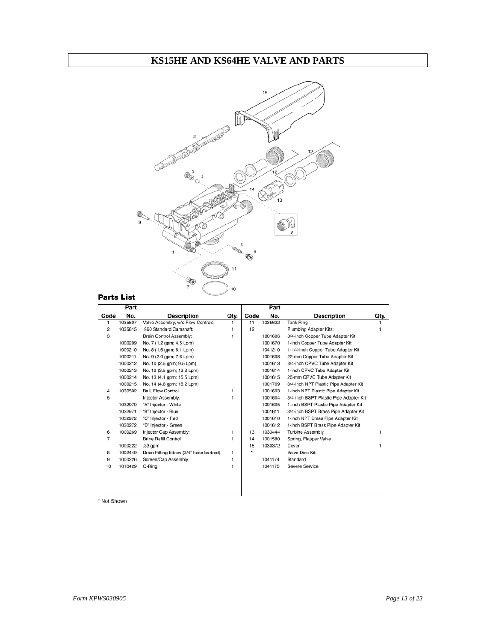# **KS15HE AND KS64HE VALVE AND PARTS**



### **Parts List**

|      | Part    |                                        |      |      | Part    |                                        |      |
|------|---------|----------------------------------------|------|------|---------|----------------------------------------|------|
| Code | No.     | <b>Description</b>                     | Qty. | Code | No.     | <b>Description</b>                     | Qty. |
| 1    | 1035807 | Valve Assembly, w/o Flow Controls      | 1    | 11   | 1035622 | <b>Tank Ring</b>                       |      |
| 2    | 1035615 | 960 Standard Camshaft:                 | 1    | 12   |         | Plumbing Adapter Kits:                 |      |
| 3    |         | Drain Control Assembly:                | 1    |      | 1001606 | 3/4-inch Copper Tube Adapter Kit       |      |
|      | 1000209 | No. 7 (1.2 gpm; 4.5 Lpm)               |      |      | 1001670 | 1-inch Copper Tube Adapter Kit         |      |
|      | 1000210 | No. 8 (1.6 gpm; 6.1 Lpm)               |      |      | 1041210 | 1-1/4-inch Copper Tube Adapter Kit     |      |
|      | 1000211 | No. 9 (2.0 gpm; 7.6 Lpm)               |      |      | 1001608 | 22-mm Copper Tube Adapter Kit          |      |
|      | 1000212 | No. 10 (2.5 gpm; 9.5 Lpm)              |      |      | 1001613 | 3/4-inch CPVC Tube Adapter Kit         |      |
|      | 1000213 | No. 12 (3.5 gpm; 13.2 Lpm)             |      |      | 1001614 | 1-inch CPVC Tube Adapter Kit           |      |
|      | 1000214 | No. 13 (4.1 gpm; 15.5 Lpm)             |      |      | 1001615 | 25-mm CPVC Tube Adapter Kit            |      |
|      | 1000215 | No. 14 (4.8 gpm; 18.2 Lpm)             |      |      | 1001769 | 3/4-inch NPT Plastic Pipe Adapter Kit  |      |
| 4    | 1030502 | Ball, Flow Control                     | 1    |      | 1001603 | 1-inch NPT Plastic Pipe Adapter Kit    |      |
| 5    |         | Injector Assembly:                     | 1    |      | 1001604 | 3/4-inch BSPT Plastic Pipe Adapter Kit |      |
|      | 1032970 | "A" Injector - White                   |      |      | 1001605 | 1-inch BSPT Plastic Pipe Adapter Kit   |      |
|      | 1032971 | "B" Injector - Blue                    |      |      | 1001611 | 3/4-inch BSPT Brass Pipe Adapter Kit   |      |
|      | 1032972 | "C" Injector - Red                     |      |      | 1001610 | 1-inch NPT Brass Pipe Adapter Kit      |      |
|      | 1030272 | "D" Injector - Green                   |      |      | 1001612 | 1-inch BSPT Brass Pipe Adapter Kit     |      |
| 6    | 1000269 | Injector Cap Assembly:                 | 1    | 13   | 1033444 | <b>Turbine Assembly</b>                |      |
| 7    |         | <b>Brine Refill Control</b>            | 1    | 14   | 1001580 | Spring, Flapper Valve                  |      |
|      | 1000222 | .33 gpm                                |      | 15   | 1030372 | Cover                                  |      |
| 8    | 1002449 | Drain Fitting Elbow (3/4" hose barbed) | 1    | ٠    |         | Valve Disc Kit:                        |      |
| 9    | 1000226 | Screen/Cap Assembly                    | 1    |      | 1041174 | Standard                               |      |
| 10   | 1010429 | O-Ring                                 | 1    |      | 1041175 | Severe Service                         |      |
|      |         |                                        |      |      |         |                                        |      |
|      |         |                                        |      |      |         |                                        |      |
|      |         |                                        |      |      |         |                                        |      |

\* Not Shown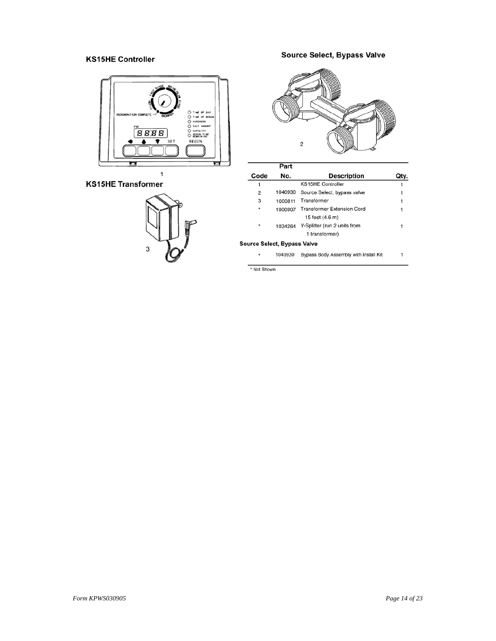### **KS15HE Controller**



#### **KS15HE Transformer**



### **Source Select, Bypass Valve**



|      | Part    |                                                       |      |
|------|---------|-------------------------------------------------------|------|
| Code | No.     | <b>Description</b>                                    | Qty. |
|      |         | <b>KS15HE Controller</b>                              |      |
| 2    |         | 1040930 Source Select, bypass valve                   |      |
| 3    | 1000811 | Transformer                                           |      |
|      |         | 1000907 Transformer Extension Cord<br>15 feet (4.6 m) |      |
|      | 1034264 | Y-Splitter (run 2 units from<br>1 transformer)        |      |
|      |         |                                                       |      |

Source Select, Bypass Valve

 $\star$  . 1040930 Bypass Body Assembly with Install Kit

 $\overline{\phantom{a}}$ 

\* Not Shown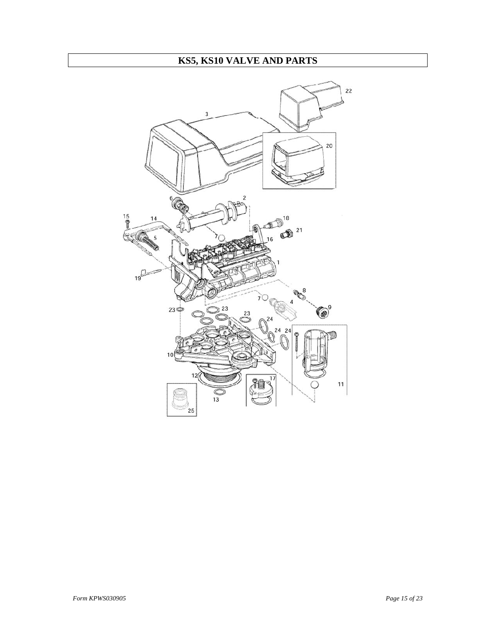# **KS5, KS10 VALVE AND PARTS**

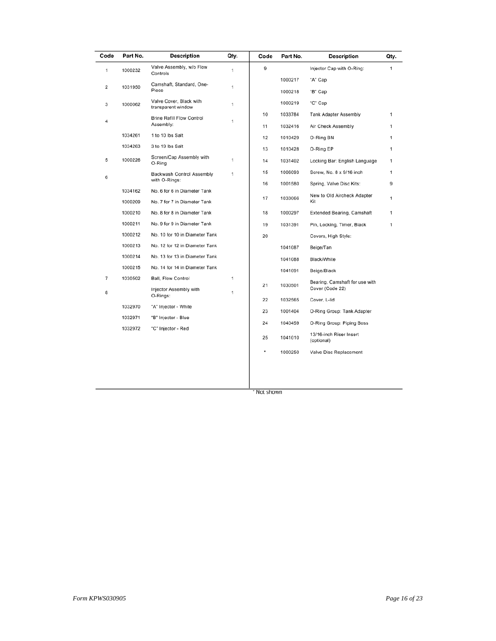| Code | Part No. | <b>Description</b>                            | Qty. | Code | Part No. | <b>Description</b>                    | Qty. |
|------|----------|-----------------------------------------------|------|------|----------|---------------------------------------|------|
| 1    | 1000232  | Valve Assembly, w/o Flow<br>Controls          | 1    | 9    |          | Injector Cap with O-Ring:             | 1    |
|      |          |                                               |      |      | 1000217  | "A" Cap                               |      |
| 2    | 1031950  | Camshaft, Standard, One-<br>Piece             | 1    |      | 1000218  | "B" Cap                               |      |
| 3    | 1000062  | Valve Cover, Black with<br>transparent window | 1    |      | 1000219  | "C" Cap                               |      |
|      |          | <b>Brine Refill Flow Control</b>              |      | 10   | 1033784  | <b>Tank Adapter Assembly</b>          | 1    |
| 4    |          | Assembly:                                     | 1    | 11   | 1032416  | Air Check Assembly                    | 1    |
|      | 1034261  | 1 to 10 lbs Salt                              |      | 12   | 1010429  | O-Ring BN                             | 1    |
|      | 1034263  | 3 to 19 lbs Salt                              |      | 13   | 1010428  | O-Ring EP                             | 1    |
| 5    | 1000226  | Screen/Cap Assembly with<br>O-Ring            | 1    | 14   | 1031402  | Locking Bar: English Language         | 1    |
| 6    |          | Backwash Control Assembly                     | 1    | 15   | 1006093  | Screw, No. 8 x 9/16 inch              | 1    |
|      |          | with O-Rings:                                 |      | 16   | 1001580  | Spring, Valve Disc Kits:              | 9    |
|      | 1034162  | No. 6 for 6 in Diameter Tank                  |      | 17   | 1033066  | New to Old Aircheck Adapter           | 1    |
|      | 1000209  | No. 7 for 7 in Diameter Tank                  |      |      |          | Kit                                   |      |
|      | 1000210  | No. 8 for 8 in Diameter Tank                  |      | 18   | 1000297  | <b>Extended Bearing, Camshaft</b>     | 1    |
|      | 1000211  | No. 9 for 9 in Diameter Tank                  |      | 19   | 1031391  | Pin, Locking, Timer, Black            | 1    |
|      | 1000212  | No. 10 for 10 in Diameter Tank                |      | 20   |          | Covers, High Style:                   |      |
|      | 1000213  | No. 12 for 12 in Diameter Tank                |      |      | 1041087  | Beige/Tan                             |      |
|      | 1000214  | No. 13 for 13 in Diameter Tank                |      |      | 1041088  | Black/White                           |      |
|      | 1000215  | No. 14 for 14 in Diameter Tank                |      |      | 1041091  | Beige/Black                           |      |
| 7    | 1030502  | <b>Ball, Flow Control</b>                     | 1    | 21   | 1030501  | Bearing, Camshaft for use with        |      |
| 8    |          | Injector Assembly with<br>O-Rings:            | 1    |      |          | Cover (Code 22)                       |      |
|      | 1032970  | "A" Injector - White                          |      | 22   | 1032565  | Cover, L-lid                          |      |
|      | 1032971  | "B" Injector - Blue                           |      | 23   | 1001404  | O-Ring Group: Tank Adapter            |      |
|      | 1032972  | "C" Injector - Red                            |      | 24   | 1040459  | O-Ring Group: Piping Boss             |      |
|      |          |                                               |      | 25   | 1041010  | 13/16-inch Riser Insert<br>(optional) |      |
|      |          |                                               |      | *    | 1000250  | Valve Disc Replacement                |      |
|      |          |                                               |      |      |          |                                       |      |
|      |          |                                               |      |      |          |                                       |      |

\* Not shown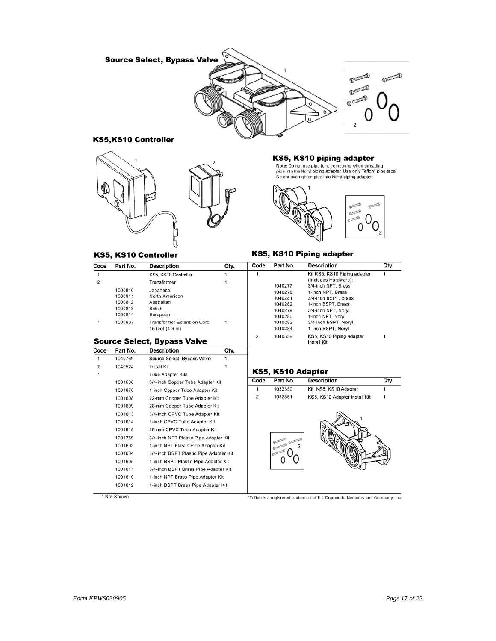

#### KS5,KS10 Controller



# KS5, KS10 piping adapter

Note: Do not use pipe joint compound when threading<br>pipe into the Noryl piping adapter. Use only Teflon\* pipe tape. Do not overtighten pipe into Noryl piping adapter.

Install Kit

Qty.

 $\mathbf{1}$ 

 $\mathbf{1}$ 



KS5, KS10 Piping adapter

#### KS5, KS10 Controller

| Code           | Part No. | <b>Description</b>                | Qty. | Code | Part No. | <b>Description</b>           |
|----------------|----------|-----------------------------------|------|------|----------|------------------------------|
|                |          | KS5, KS10 Controller              |      |      |          | Kit KS5, KS10 Piping adapter |
| $\overline{2}$ |          | Transformer                       |      |      |          | (Includes Hardware):         |
|                |          |                                   |      |      | 1040277  | 3/4-inch NPT, Brass          |
|                | 1000810  | Japanese                          |      |      | 1040278  | 1-inch NPT, Brass            |
|                | 1000811  | North American                    |      |      | 1040281  | 3/4-inch BSPT, Brass         |
|                | 1000812  | Australian                        |      |      | 1040282  | 1-inch BSPT, Brass           |
|                | 1000813  | <b>British</b>                    |      |      | 1040279  | 3/4-inch NPT, Noryl          |
|                | 1000814  | European                          |      |      | 1040280  | 1-inch NPT, Noryl            |
| ۰              | 1000907  | <b>Transformer Extension Cord</b> |      |      | 1040283  | 3/4-inch BSPT, NorvI         |
|                |          | 15 foot (4.6 m)                   |      |      | 1040284  | 1-inch BSPT, Noryl           |
|                |          |                                   |      | 2    | 1040339  | KS5, KS10 Piping adapter     |

#### **Source Select, Bypass Valve**

| Code           | Part No. | <b>Description</b>                                                           | Qty. |  |
|----------------|----------|------------------------------------------------------------------------------|------|--|
| 1              | 1040769  | Source Select, Bypass Valve                                                  | 1    |  |
| $\overline{c}$ | 1040524  | Install Kit                                                                  |      |  |
|                |          | <b>Tube Adapter Kits</b>                                                     |      |  |
|                | 1001606  | 3/4-inch Copper Tube Adapter Kit                                             |      |  |
|                | 1001670  | 1-inch Copper Tube Adapter Kit                                               |      |  |
|                | 1001608  | 22-mm Copper Tube Adapter Kit                                                |      |  |
|                | 1001609  | 28-mm Copper Tube Adapter Kit                                                |      |  |
|                | 1001613  | 3/4-inch CPVC Tube Adapter Kit                                               |      |  |
|                | 1001614  | 1-inch CPVC Tube Adapter Kit                                                 |      |  |
|                | 1001615  | 25-mm CPVC Tube Adapter Kit                                                  |      |  |
|                | 1001769  | 3/4-inch NPT Plastic Pipe Adapter Kit<br>1-inch NPT Plastic Pipe Adapter Kit |      |  |
|                | 1001603  |                                                                              |      |  |
|                | 1001604  | 3/4-inch BSPT Plastic Pipe Adapter Kit                                       |      |  |
|                | 1001605  | 1-inch BSPT Plastic Pipe Adapter Kit                                         |      |  |
|                | 1001611  | 3/4-inch BSPT Brass Pipe Adapter Kit                                         |      |  |
|                | 1001610  | 1-inch NPT Brass Pipe Adapter Kit                                            |      |  |
|                | 1001612  | 1-inch BSPT Brass Pipe Adapter Kit                                           |      |  |

#### KS5, KS10 Adapter



\* Not Shown

#### \*Teflon is a registered trademark of E.I. Dupont de Nemours and Company, Inc.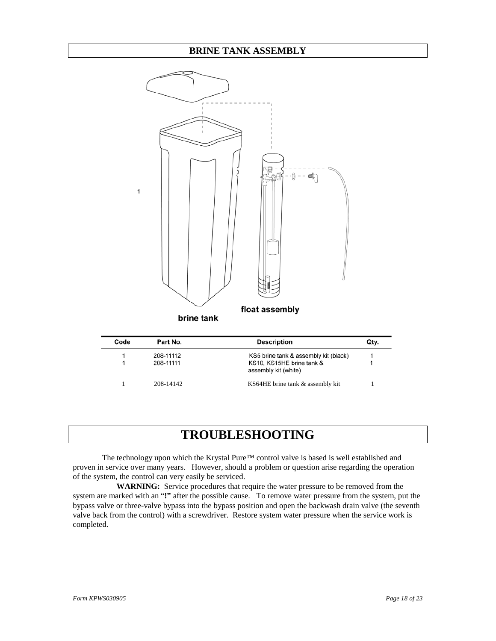

| Code | Part No.  | <b>Description</b>                                | Qtv. |
|------|-----------|---------------------------------------------------|------|
|      | 208-11112 | KS5 brine tank & assembly kit (black)             |      |
|      | 208-11111 | KS10, KS15HE brine tank &<br>assembly kit (white) |      |
|      | 208-14142 | KS64HE brine tank & assembly kit                  |      |

# **TROUBLESHOOTING**

The technology upon which the Krystal Pure™ control valve is based is well established and proven in service over many years. However, should a problem or question arise regarding the operation of the system, the control can very easily be serviced.

**WARNING:** Service procedures that require the water pressure to be removed from the system are marked with an "**!"** after the possible cause. To remove water pressure from the system, put the bypass valve or three-valve bypass into the bypass position and open the backwash drain valve (the seventh valve back from the control) with a screwdriver. Restore system water pressure when the service work is completed.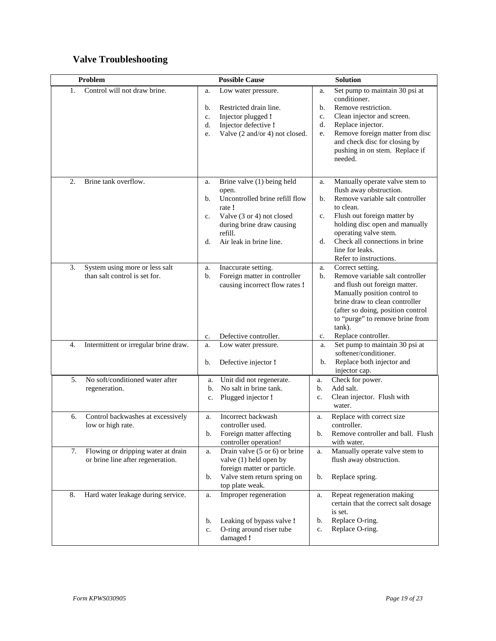# **Valve Troubleshooting**

| Problem                                                                       | <b>Possible Cause</b>                                                                                                                                                                                   | <b>Solution</b>                                                                                                                                                                                                                                                                                            |
|-------------------------------------------------------------------------------|---------------------------------------------------------------------------------------------------------------------------------------------------------------------------------------------------------|------------------------------------------------------------------------------------------------------------------------------------------------------------------------------------------------------------------------------------------------------------------------------------------------------------|
| Control will not draw brine.<br>1.                                            | Low water pressure.<br>a.<br>Restricted drain line.<br>b.<br>Injector plugged !<br>c.<br>Injector defective !<br>d.<br>Valve (2 and/or 4) not closed.<br>e.                                             | Set pump to maintain 30 psi at<br>a.<br>conditioner.<br>Remove restriction.<br>b.<br>Clean injector and screen.<br>c.<br>Replace injector.<br>d.<br>Remove foreign matter from disc<br>e.<br>and check disc for closing by<br>pushing in on stem. Replace if<br>needed.                                    |
| Brine tank overflow.<br>2.                                                    | Brine valve (1) being held<br>a.<br>open.<br>Uncontrolled brine refill flow<br>b.<br>rate !<br>Valve (3 or 4) not closed<br>c.<br>during brine draw causing<br>refill.<br>Air leak in brine line.<br>d. | Manually operate valve stem to<br>a.<br>flush away obstruction.<br>Remove variable salt controller<br>b.<br>to clean.<br>Flush out foreign matter by<br>c.<br>holding disc open and manually<br>operating valve stem.<br>Check all connections in brine<br>d.<br>line for leaks.<br>Refer to instructions. |
| 3.<br>System using more or less salt<br>than salt control is set for.         | Inaccurate setting.<br>a.<br>Foreign matter in controller<br>b.<br>causing incorrect flow rates !                                                                                                       | Correct setting.<br>a.<br>Remove variable salt controller<br>b.<br>and flush out foreign matter.<br>Manually position control to<br>brine draw to clean controller<br>(after so doing, position control<br>to "purge" to remove brine from<br>tank).                                                       |
| Intermittent or irregular brine draw.<br>4.                                   | Defective controller.<br>c.<br>Low water pressure.<br>a.<br>Defective injector !<br>b.                                                                                                                  | Replace controller.<br>c.<br>Set pump to maintain 30 psi at<br>a.<br>softener/conditioner.<br>Replace both injector and<br>b.<br>injector cap.                                                                                                                                                             |
| No soft/conditioned water after<br>5.<br>regeneration.                        | Unit did not regenerate.<br>a.<br>No salt in brine tank.<br>b.<br>Plugged injector !<br>c.                                                                                                              | Check for power.<br>a.<br>Add salt.<br>b.<br>Clean injector. Flush with<br>c.<br>water.                                                                                                                                                                                                                    |
| Control backwashes at excessively<br>6.<br>low or high rate.                  | Incorrect backwash<br>a.<br>controller used.<br>Foreign matter affecting<br>b.<br>controller operation!                                                                                                 | Replace with correct size<br>a.<br>controller.<br>Remove controller and ball. Flush<br>b.<br>with water.                                                                                                                                                                                                   |
| 7.<br>Flowing or dripping water at drain<br>or brine line after regeneration. | Drain valve $(5 \text{ or } 6)$ or brine<br>a.<br>valve (1) held open by<br>foreign matter or particle.<br>Valve stem return spring on<br>b.<br>top plate weak.                                         | Manually operate valve stem to<br>a.<br>flush away obstruction.<br>Replace spring.<br>b.                                                                                                                                                                                                                   |
| Hard water leakage during service.<br>8.                                      | Improper regeneration<br>a.<br>Leaking of bypass valve!<br>b.<br>O-ring around riser tube<br>c.<br>damaged !                                                                                            | Repeat regeneration making<br>a.<br>certain that the correct salt dosage<br>is set.<br>Replace O-ring.<br>b.<br>Replace O-ring.<br>c.                                                                                                                                                                      |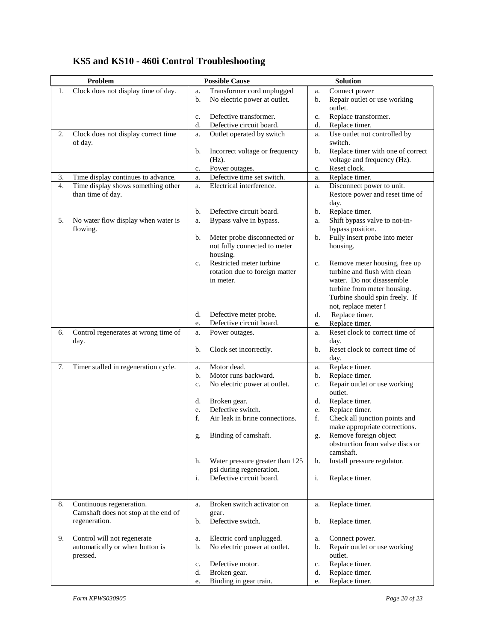|    | Problem                                        |          | <b>Possible Cause</b>                              |          | <b>Solution</b>                                                  |
|----|------------------------------------------------|----------|----------------------------------------------------|----------|------------------------------------------------------------------|
| 1. | Clock does not display time of day.            | a.       | Transformer cord unplugged                         | a.       | Connect power                                                    |
|    |                                                | b.       | No electric power at outlet.                       | b.       | Repair outlet or use working<br>outlet.                          |
|    |                                                | c.       | Defective transformer.                             | c.       | Replace transformer.                                             |
|    |                                                | d.       | Defective circuit board.                           | d.       | Replace timer.                                                   |
| 2. | Clock does not display correct time<br>of day. | a.       | Outlet operated by switch                          | a.       | Use outlet not controlled by<br>switch.                          |
|    |                                                | b.       | Incorrect voltage or frequency<br>$(Hz)$ .         | b.       | Replace timer with one of correct<br>voltage and frequency (Hz). |
|    |                                                | c.       | Power outages.                                     | c.       | Reset clock.                                                     |
| 3. | Time display continues to advance.             | a.       | Defective time set switch.                         | a.       | Replace timer.                                                   |
| 4. | Time display shows something other             | a.       | Electrical interference.                           | a.       | Disconnect power to unit.                                        |
|    | than time of day.                              |          |                                                    |          | Restore power and reset time of<br>day.                          |
|    |                                                | b.       | Defective circuit board.                           | b.       | Replace timer.                                                   |
| 5. | No water flow display when water is            | a.       | Bypass valve in bypass.                            | a.       | Shift bypass valve to not-in-                                    |
|    | flowing.                                       |          |                                                    |          | bypass position.                                                 |
|    |                                                | b.       | Meter probe disconnected or                        | b.       | Fully insert probe into meter                                    |
|    |                                                |          | not fully connected to meter                       |          | housing.                                                         |
|    |                                                |          | housing.                                           |          |                                                                  |
|    |                                                | c.       | Restricted meter turbine                           | c.       | Remove meter housing, free up                                    |
|    |                                                |          | rotation due to foreign matter                     |          | turbine and flush with clean                                     |
|    |                                                |          | in meter.                                          |          | water. Do not disassemble                                        |
|    |                                                |          |                                                    |          | turbine from meter housing.                                      |
|    |                                                |          |                                                    |          | Turbine should spin freely. If                                   |
|    |                                                |          |                                                    |          | not, replace meter !                                             |
|    |                                                | d.       | Defective meter probe.<br>Defective circuit board. | d.       | Replace timer.                                                   |
|    |                                                | e.       |                                                    | e.       | Replace timer.<br>Reset clock to correct time of                 |
| 6. | Control regenerates at wrong time of<br>day.   | a.       | Power outages.                                     | a.       | day.                                                             |
|    |                                                | b.       | Clock set incorrectly.                             | b.       | Reset clock to correct time of                                   |
|    |                                                |          |                                                    |          | day.                                                             |
| 7. | Timer stalled in regeneration cycle.           | a.       | Motor dead.                                        | a.       | Replace timer.                                                   |
|    |                                                | b.       | Motor runs backward.                               | b.       | Replace timer.                                                   |
|    |                                                | c.       | No electric power at outlet.                       | c.       | Repair outlet or use working                                     |
|    |                                                |          |                                                    |          | outlet.                                                          |
|    |                                                | d.<br>e. | Broken gear.<br>Defective switch.                  | d.       | Replace timer.<br>Replace timer.                                 |
|    |                                                | f.       | Air leak in brine connections.                     | e.<br>f. | Check all junction points and                                    |
|    |                                                |          |                                                    |          | make appropriate corrections.                                    |
|    |                                                |          | Binding of camshaft.                               | g.       | Remove foreign object                                            |
|    |                                                |          |                                                    |          | obstruction from valve discs or                                  |
|    |                                                |          |                                                    |          | camshaft.                                                        |
|    |                                                | h.       | Water pressure greater than 125                    | h.       | Install pressure regulator.                                      |
|    |                                                |          | psi during regeneration.                           |          |                                                                  |
|    |                                                | i.       | Defective circuit board.                           | i.       | Replace timer.                                                   |
|    |                                                |          |                                                    |          |                                                                  |
| 8. | Continuous regeneration.                       | a.       | Broken switch activator on                         | a.       | Replace timer.                                                   |
|    | Camshaft does not stop at the end of           |          | gear.                                              |          |                                                                  |
|    | regeneration.                                  | b.       | Defective switch.                                  | b.       | Replace timer.                                                   |
| 9. | Control will not regenerate                    | a.       | Electric cord unplugged.                           | a.       | Connect power.                                                   |
|    | automatically or when button is                | b.       | No electric power at outlet.                       | b.       | Repair outlet or use working                                     |
|    | pressed.                                       |          |                                                    |          | outlet.                                                          |
|    |                                                | c.       | Defective motor.                                   | c.       | Replace timer.                                                   |
|    |                                                | d.       | Broken gear.                                       | d.       | Replace timer.                                                   |
|    |                                                | e.       | Binding in gear train.                             | e.       | Replace timer.                                                   |

# **KS5 and KS10 - 460i Control Troubleshooting**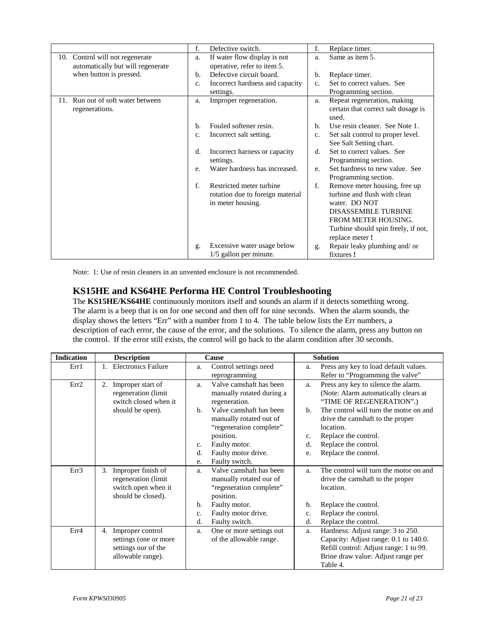|                                      | f.          | Defective switch.                                     | f.             | Replace timer.                                |
|--------------------------------------|-------------|-------------------------------------------------------|----------------|-----------------------------------------------|
| 10. Control will not regenerate      | a.          | If water flow display is not                          | a.             | Same as item 5.                               |
| automatically but will regenerate    |             | operative, refer to item 5.                           |                |                                               |
| when button is pressed.              | b.          | Defective circuit board.                              | b.             | Replace timer.                                |
|                                      | $C_{\star}$ | Incorrect hardness and capacity                       | C <sub>1</sub> | Set to correct values. See                    |
|                                      |             | settings.                                             |                | Programming section.                          |
| Run out of soft water between<br>11. | a.          | Improper regeneration.                                | a.             | Repeat regeneration, making                   |
| regenerations.                       |             |                                                       |                | certain that correct salt dosage is<br>used.  |
|                                      | $h_{\cdot}$ | Fouled softener resin.                                | b.             | Use resin cleaner. See Note 1.                |
|                                      | $C_{\star}$ | Incorrect salt setting.                               | $C_{\star}$    | Set salt control to proper level.             |
|                                      |             |                                                       |                | See Salt Setting chart.                       |
|                                      | d.          | Incorrect harness or capacity                         | d.             | Set to correct values. See                    |
|                                      |             | settings.                                             |                | Programming section.                          |
|                                      | e.          | Water hardness has increased.                         | e.             | Set hardness to new value. See                |
|                                      |             |                                                       |                | Programming section.                          |
|                                      | $f_{\cdot}$ | Restricted meter turbine                              | f.             | Remove meter housing, free up                 |
|                                      |             | rotation due to foreign material<br>in meter housing. |                | turbine and flush with clean<br>water. DO NOT |
|                                      |             |                                                       |                | <b>DISASSEMBLE TURBINE</b>                    |
|                                      |             |                                                       |                | FROM METER HOUSING.                           |
|                                      |             |                                                       |                | Turbine should spin freely, if not,           |
|                                      |             |                                                       |                | replace meter !                               |
|                                      | g.          | Excessive water usage below                           | g.             | Repair leaky plumbing and/or                  |
|                                      |             | 1/5 gallon per minute.                                |                | fixtures !                                    |

Note: 1: Use of resin cleaners in an unvented enclosure is not recommended.

### **KS15HE and KS64HE Performa HE Control Troubleshooting**

The **KS15HE/KS64HE** continuously monitors itself and sounds an alarm if it detects something wrong. The alarm is a beep that is on for one second and then off for nine seconds. When the alarm sounds, the display shows the letters "Err" with a number from 1 to 4. The table below lists the Err numbers, a description of each error, the cause of the error, and the solutions. To silence the alarm, press any button on the control. If the error still exists, the control will go back to the alarm condition after 30 seconds.

| <b>Indication</b> | <b>Description</b>                                                                            | Cause                                                                                                                                                                                                                                                       | <b>Solution</b>                                                                                                                                                                                                                                                                                                       |
|-------------------|-----------------------------------------------------------------------------------------------|-------------------------------------------------------------------------------------------------------------------------------------------------------------------------------------------------------------------------------------------------------------|-----------------------------------------------------------------------------------------------------------------------------------------------------------------------------------------------------------------------------------------------------------------------------------------------------------------------|
| Err1              | <b>Electronics Failure</b><br>1.                                                              | Control settings need<br>a.                                                                                                                                                                                                                                 | Press any key to load default values.<br>a.                                                                                                                                                                                                                                                                           |
|                   |                                                                                               | reprogramming                                                                                                                                                                                                                                               | Refer to "Programming the valve"                                                                                                                                                                                                                                                                                      |
| Err2              | Improper start of<br>2.<br>regeneration (limit<br>switch closed when it<br>should be open).   | Valve camshaft has been<br>a.<br>manually rotated during a<br>regeneration.<br>Valve camshaft has been<br>b.<br>manually rotated out of<br>"regeneration complete"<br>position.<br>Faulty motor.<br>c.<br>Faulty motor drive.<br>d.<br>Faulty switch.<br>e. | Press any key to silence the alarm.<br>a.<br>(Note: Alarm automatically clears at<br>"TIME OF REGENERATION".)<br>The control will turn the motor on and<br>$b$<br>drive the camshaft to the proper<br>location.<br>Replace the control.<br>$\mathbf{C}$ .<br>Replace the control.<br>d.<br>Replace the control.<br>e. |
| Err <sub>3</sub>  | Improper finish of<br>3.<br>regeneration (limit)<br>switch open when it<br>should be closed). | Valve camshaft has been<br>a.<br>manually rotated our of<br>"regeneration complete"<br>position.<br>Faulty motor.<br>b.<br>Faulty motor drive.<br>c.<br>Faulty switch.<br>d.                                                                                | The control will turn the motor on and<br>a.<br>drive the camshaft to the proper<br>location.<br>Replace the control.<br>b.<br>Replace the control.<br>c.<br>Replace the control.<br>d.                                                                                                                               |
| Err4              | Improper control<br>4.<br>settings (one or more<br>settings our of the<br>allowable range).   | One or more settings out<br>a.<br>of the allowable range.                                                                                                                                                                                                   | Hardness: Adjust range: 3 to 250.<br>a.<br>Capacity: Adjust range: 0.1 to 140.0.<br>Refill control: Adjust range: 1 to 99.<br>Brine draw value: Adjust range per<br>Table 4.                                                                                                                                          |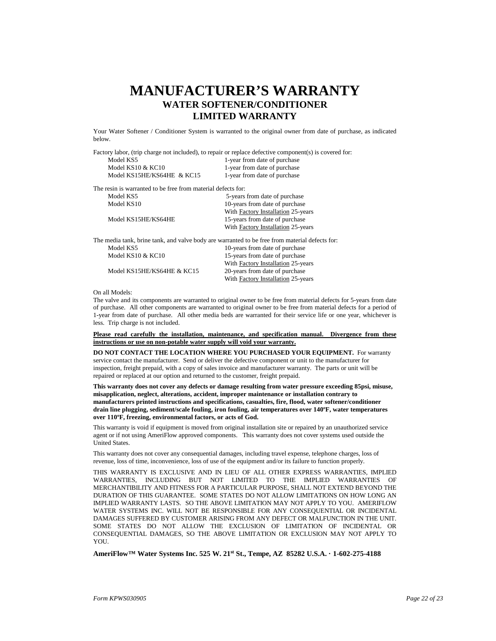# **MANUFACTURER'S WARRANTY WATER SOFTENER/CONDITIONER LIMITED WARRANTY**

Your Water Softener / Conditioner System is warranted to the original owner from date of purchase, as indicated below.

Factory labor, (trip charge not included), to repair or replace defective component(s) is covered for:

| Model KS5                  | 1-year from date of purchase |
|----------------------------|------------------------------|
| Model $KS10 & KCl0$        | 1-year from date of purchase |
| Model KS15HE/KS64HE & KC15 | 1-year from date of purchase |

The resin is warranted to be free from material defects for:

| Model KS5           | 5-years from date of purchase                                                                  |
|---------------------|------------------------------------------------------------------------------------------------|
| Model KS10          | 10-years from date of purchase                                                                 |
|                     | With Factory Installation 25-years                                                             |
| Model KS15HE/KS64HE | 15-years from date of purchase                                                                 |
|                     | With Factory Installation 25-years                                                             |
|                     | The media tank, brine tank, and valve body are warranted to be free from material defects for: |
| Model KS5           | 10-years from date of purchase                                                                 |
| Model KS10 & KC10   | 15-years from date of purchase                                                                 |

Model KS15HE/KS64HE & KC15

With **Factory Installation** 25-years<br>20-years from date of purchase With Factory Installation 25-years

#### On all Models:

The valve and its components are warranted to original owner to be free from material defects for 5-years from date of purchase. All other components are warranted to original owner to be free from material defects for a period of 1-year from date of purchase. All other media beds are warranted for their service life or one year, whichever is less. Trip charge is not included.

**Please read carefully the installation, maintenance, and specification manual. Divergence from these instructions or use on non-potable water supply will void your warranty.** 

**DO NOT CONTACT THE LOCATION WHERE YOU PURCHASED YOUR EQUIPMENT.** For warranty service contact the manufacturer. Send or deliver the defective component or unit to the manufacturer for inspection, freight prepaid, with a copy of sales invoice and manufacturer warranty. The parts or unit will be repaired or replaced at our option and returned to the customer, freight prepaid.

**This warranty does not cover any defects or damage resulting from water pressure exceeding 85psi, misuse, misapplication, neglect, alterations, accident, improper maintenance or installation contrary to manufacturers printed instructions and specifications, casualties, fire, flood, water softener/conditioner drain line plugging, sediment/scale fouling, iron fouling, air temperatures over 140ºF, water temperatures over 110ºF, freezing, environmental factors, or acts of God.**

This warranty is void if equipment is moved from original installation site or repaired by an unauthorized service agent or if not using AmeriFlow approved components. This warranty does not cover systems used outside the United States.

This warranty does not cover any consequential damages, including travel expense, telephone charges, loss of revenue, loss of time, inconvenience, loss of use of the equipment and/or its failure to function properly.

THIS WARRANTY IS EXCLUSIVE AND IN LIEU OF ALL OTHER EXPRESS WARRANTIES, IMPLIED WARRANTIES, INCLUDING BUT NOT LIMITED TO THE IMPLIED WARRANTIES OF MERCHANTIBILITY AND FITNESS FOR A PARTICULAR PURPOSE, SHALL NOT EXTEND BEYOND THE DURATION OF THIS GUARANTEE. SOME STATES DO NOT ALLOW LIMITATIONS ON HOW LONG AN IMPLIED WARRANTY LASTS. SO THE ABOVE LIMITATION MAY NOT APPLY TO YOU. AMERIFLOW WATER SYSTEMS INC. WILL NOT BE RESPONSIBLE FOR ANY CONSEQUENTIAL OR INCIDENTAL DAMAGES SUFFERED BY CUSTOMER ARISING FROM ANY DEFECT OR MALFUNCTION IN THE UNIT. SOME STATES DO NOT ALLOW THE EXCLUSION OF LIMITATION OF INCIDENTAL OR CONSEQUENTIAL DAMAGES, SO THE ABOVE LIMITATION OR EXCLUSION MAY NOT APPLY TO YOU

**AmeriFlow™ Water Systems Inc. 525 W. 21st St., Tempe, AZ 85282 U.S.A. · 1-602-275-4188**